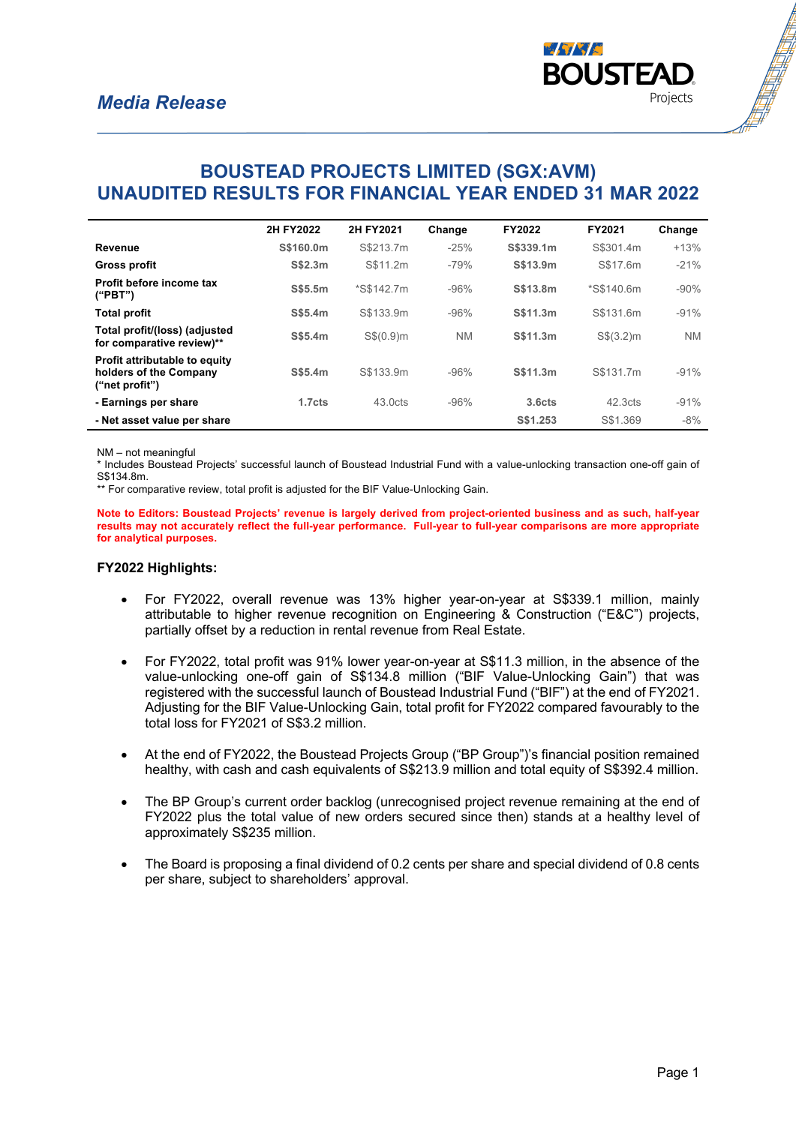

# **BOUSTEAD PROJECTS LIMITED (SGX:AVM) UNAUDITED RESULTS FOR FINANCIAL YEAR ENDED 31 MAR 2022**

|                                                                                  | 2H FY2022          | 2H FY2021           | Change    | FY2022             | FY2021              | Change    |
|----------------------------------------------------------------------------------|--------------------|---------------------|-----------|--------------------|---------------------|-----------|
| Revenue                                                                          | S\$160.0m          | S\$213.7m           | $-25%$    | S\$339.1m          | S\$301.4m           | $+13%$    |
| <b>Gross profit</b>                                                              | S\$2.3m            | S\$11.2m            | $-79%$    | S\$13.9m           | S\$17.6m            | $-21%$    |
| Profit before income tax<br>("PBT")                                              | S\$5.5m            | *S\$142.7m          | $-96%$    | S\$13.8m           | *S\$140.6m          | $-90%$    |
| <b>Total profit</b>                                                              | S\$5.4m            | S\$133.9m           | $-96%$    | S\$11.3m           | S\$131.6m           | $-91%$    |
| Total profit/(loss) (adjusted<br>for comparative review)**                       | S\$5.4m            | S\$(0.9)m           | <b>NM</b> | S\$11.3m           | S\$(3.2)m           | <b>NM</b> |
| <b>Profit attributable to equity</b><br>holders of the Company<br>("net profit") | S\$5.4m            | S\$133.9m           | $-96%$    | S\$11.3m           | S\$131.7m           | $-91%$    |
| - Earnings per share                                                             | 1.7 <sub>cts</sub> | 43.0 <sub>cts</sub> | $-96%$    | 3.6 <sub>cts</sub> | 42.3 <sub>cts</sub> | $-91%$    |
| - Net asset value per share                                                      |                    |                     |           | S\$1.253           | S\$1.369            | $-8%$     |

NM – not meaningful

\* Includes Boustead Projects' successful launch of Boustead Industrial Fund with a value-unlocking transaction one-off gain of S\$134.8m.

\*\* For comparative review, total profit is adjusted for the BIF Value-Unlocking Gain.

**Note to Editors: Boustead Projects' revenue is largely derived from project-oriented business and as such, half-year results may not accurately reflect the full-year performance. Full-year to full-year comparisons are more appropriate for analytical purposes.**

#### **FY2022 Highlights:**

- For FY2022, overall revenue was 13% higher year-on-year at S\$339.1 million, mainly attributable to higher revenue recognition on Engineering & Construction ("E&C") projects, partially offset by a reduction in rental revenue from Real Estate.
- For FY2022, total profit was 91% lower year-on-year at S\$11.3 million, in the absence of the value-unlocking one-off gain of S\$134.8 million ("BIF Value-Unlocking Gain") that was registered with the successful launch of Boustead Industrial Fund ("BIF") at the end of FY2021. Adjusting for the BIF Value-Unlocking Gain, total profit for FY2022 compared favourably to the total loss for FY2021 of S\$3.2 million.
- At the end of FY2022, the Boustead Projects Group ("BP Group")'s financial position remained healthy, with cash and cash equivalents of S\$213.9 million and total equity of S\$392.4 million.
- The BP Group's current order backlog (unrecognised project revenue remaining at the end of FY2022 plus the total value of new orders secured since then) stands at a healthy level of approximately S\$235 million.
- The Board is proposing a final dividend of 0.2 cents per share and special dividend of 0.8 cents per share, subject to shareholders' approval.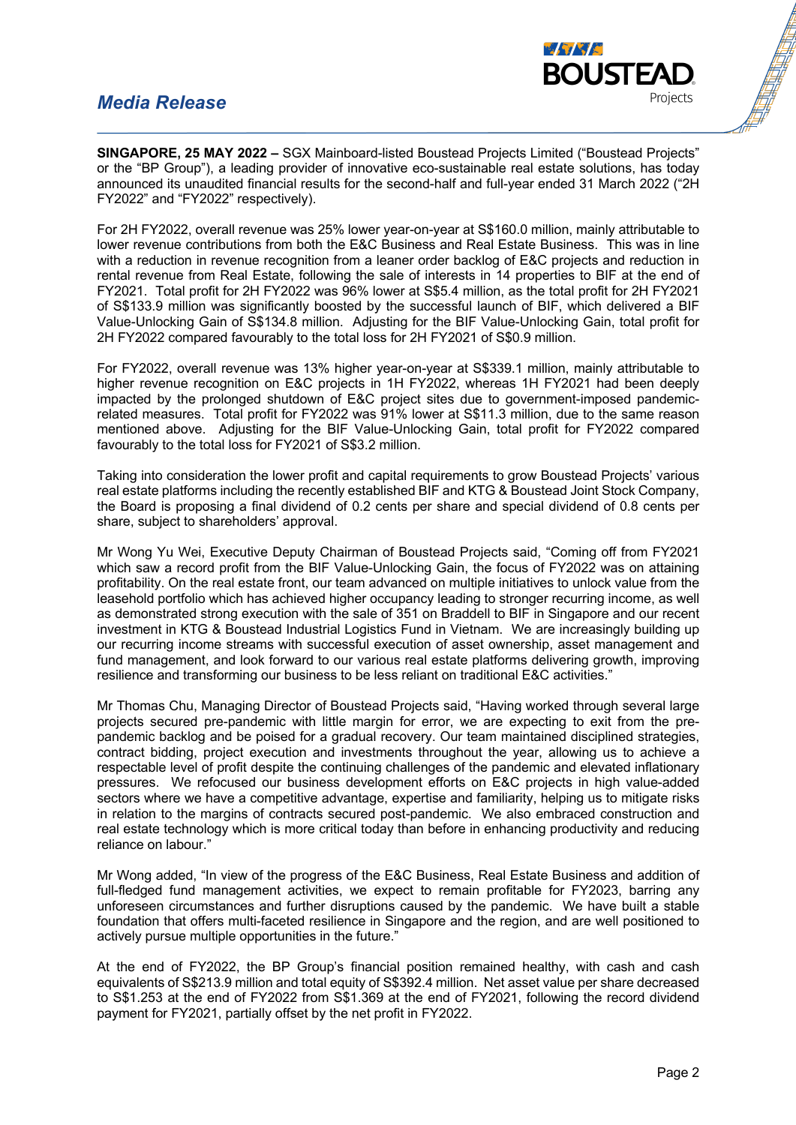#### *Media Release*



**SINGAPORE, 25 MAY 2022 –** SGX Mainboard-listed Boustead Projects Limited ("Boustead Projects" or the "BP Group"), a leading provider of innovative eco-sustainable real estate solutions, has today announced its unaudited financial results for the second-half and full-year ended 31 March 2022 ("2H FY2022" and "FY2022" respectively).

For 2H FY2022, overall revenue was 25% lower year-on-year at S\$160.0 million, mainly attributable to lower revenue contributions from both the E&C Business and Real Estate Business. This was in line with a reduction in revenue recognition from a leaner order backlog of E&C projects and reduction in rental revenue from Real Estate, following the sale of interests in 14 properties to BIF at the end of FY2021. Total profit for 2H FY2022 was 96% lower at S\$5.4 million, as the total profit for 2H FY2021 of S\$133.9 million was significantly boosted by the successful launch of BIF, which delivered a BIF Value-Unlocking Gain of S\$134.8 million. Adjusting for the BIF Value-Unlocking Gain, total profit for 2H FY2022 compared favourably to the total loss for 2H FY2021 of S\$0.9 million.

For FY2022, overall revenue was 13% higher year-on-year at S\$339.1 million, mainly attributable to higher revenue recognition on E&C projects in 1H FY2022, whereas 1H FY2021 had been deeply impacted by the prolonged shutdown of E&C project sites due to government-imposed pandemicrelated measures. Total profit for FY2022 was 91% lower at S\$11.3 million, due to the same reason mentioned above. Adjusting for the BIF Value-Unlocking Gain, total profit for FY2022 compared favourably to the total loss for FY2021 of S\$3.2 million.

Taking into consideration the lower profit and capital requirements to grow Boustead Projects' various real estate platforms including the recently established BIF and KTG & Boustead Joint Stock Company, the Board is proposing a final dividend of 0.2 cents per share and special dividend of 0.8 cents per share, subject to shareholders' approval.

Mr Wong Yu Wei, Executive Deputy Chairman of Boustead Projects said, "Coming off from FY2021 which saw a record profit from the BIF Value-Unlocking Gain, the focus of FY2022 was on attaining profitability. On the real estate front, our team advanced on multiple initiatives to unlock value from the leasehold portfolio which has achieved higher occupancy leading to stronger recurring income, as well as demonstrated strong execution with the sale of 351 on Braddell to BIF in Singapore and our recent investment in KTG & Boustead Industrial Logistics Fund in Vietnam. We are increasingly building up our recurring income streams with successful execution of asset ownership, asset management and fund management, and look forward to our various real estate platforms delivering growth, improving resilience and transforming our business to be less reliant on traditional E&C activities."

Mr Thomas Chu, Managing Director of Boustead Projects said, "Having worked through several large projects secured pre-pandemic with little margin for error, we are expecting to exit from the prepandemic backlog and be poised for a gradual recovery. Our team maintained disciplined strategies, contract bidding, project execution and investments throughout the year, allowing us to achieve a respectable level of profit despite the continuing challenges of the pandemic and elevated inflationary pressures. We refocused our business development efforts on E&C projects in high value-added sectors where we have a competitive advantage, expertise and familiarity, helping us to mitigate risks in relation to the margins of contracts secured post-pandemic. We also embraced construction and real estate technology which is more critical today than before in enhancing productivity and reducing reliance on labour."

Mr Wong added, "In view of the progress of the E&C Business, Real Estate Business and addition of full-fledged fund management activities, we expect to remain profitable for FY2023, barring any unforeseen circumstances and further disruptions caused by the pandemic. We have built a stable foundation that offers multi-faceted resilience in Singapore and the region, and are well positioned to actively pursue multiple opportunities in the future."

At the end of FY2022, the BP Group's financial position remained healthy, with cash and cash equivalents of S\$213.9 million and total equity of S\$392.4 million. Net asset value per share decreased to S\$1.253 at the end of FY2022 from S\$1.369 at the end of FY2021, following the record dividend payment for FY2021, partially offset by the net profit in FY2022.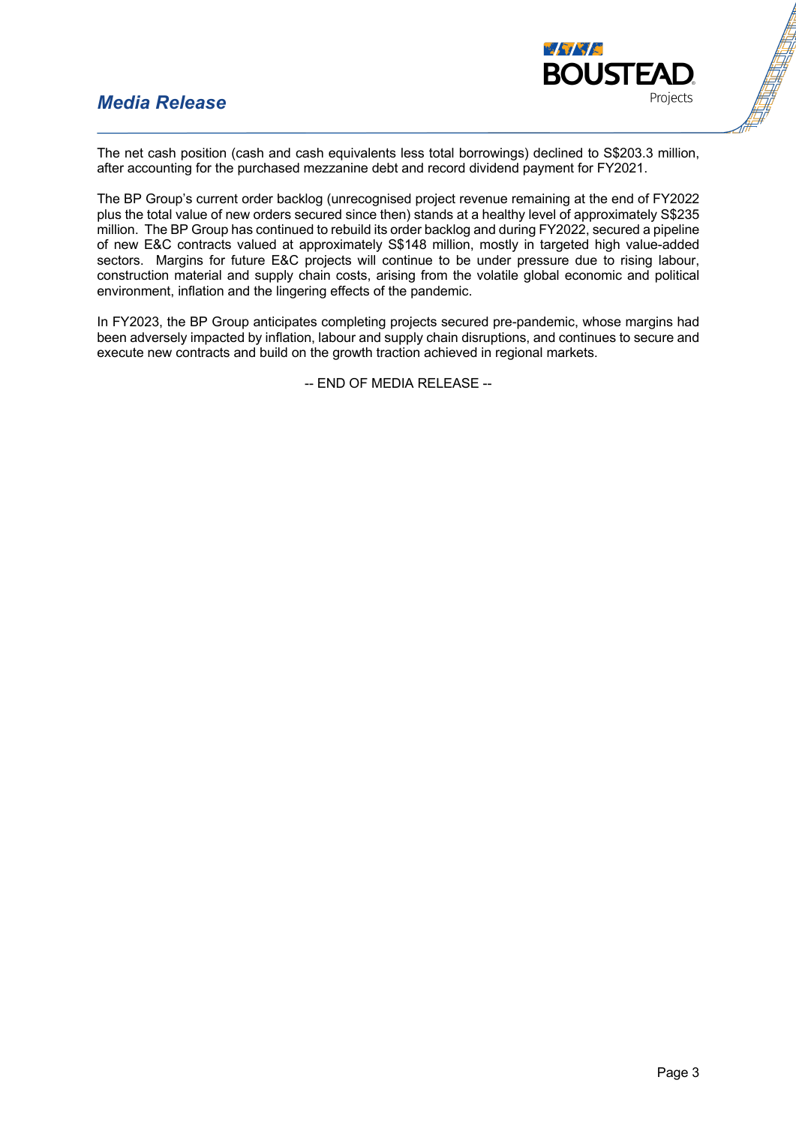### *Media Release*



The net cash position (cash and cash equivalents less total borrowings) declined to S\$203.3 million, after accounting for the purchased mezzanine debt and record dividend payment for FY2021.

The BP Group's current order backlog (unrecognised project revenue remaining at the end of FY2022 plus the total value of new orders secured since then) stands at a healthy level of approximately S\$235 million. The BP Group has continued to rebuild its order backlog and during FY2022, secured a pipeline of new E&C contracts valued at approximately S\$148 million, mostly in targeted high value-added sectors. Margins for future E&C projects will continue to be under pressure due to rising labour, construction material and supply chain costs, arising from the volatile global economic and political environment, inflation and the lingering effects of the pandemic.

In FY2023, the BP Group anticipates completing projects secured pre-pandemic, whose margins had been adversely impacted by inflation, labour and supply chain disruptions, and continues to secure and execute new contracts and build on the growth traction achieved in regional markets.

-- END OF MEDIA RELEASE --